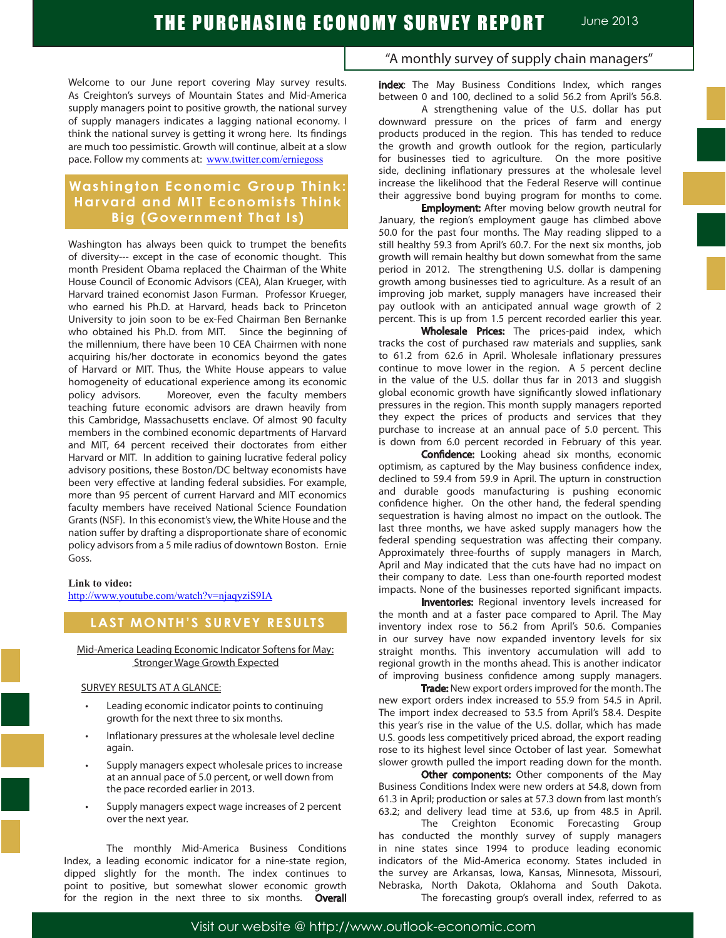Welcome to our June report covering May survey results. As Creighton's surveys of Mountain States and Mid-America supply managers point to positive growth, the national survey of supply managers indicates a lagging national economy. I think the national survey is getting it wrong here. Its findings are much too pessimistic. Growth will continue, albeit at a slow pace. Follow my comments at: www.twitter.com/erniegoss

## **Washington Economic Group Think: Harvard and MIT Economists Think Big (Government That Is)**

Washington has always been quick to trumpet the benefits of diversity--- except in the case of economic thought. This month President Obama replaced the Chairman of the White House Council of Economic Advisors (CEA), Alan Krueger, with Harvard trained economist Jason Furman. Professor Krueger, who earned his Ph.D. at Harvard, heads back to Princeton University to join soon to be ex-Fed Chairman Ben Bernanke who obtained his Ph.D. from MIT. Since the beginning of the millennium, there have been 10 CEA Chairmen with none acquiring his/her doctorate in economics beyond the gates of Harvard or MIT. Thus, the White House appears to value homogeneity of educational experience among its economic policy advisors. Moreover, even the faculty members teaching future economic advisors are drawn heavily from this Cambridge, Massachusetts enclave. Of almost 90 faculty members in the combined economic departments of Harvard and MIT, 64 percent received their doctorates from either Harvard or MIT. In addition to gaining lucrative federal policy advisory positions, these Boston/DC beltway economists have been very effective at landing federal subsidies. For example, more than 95 percent of current Harvard and MIT economics faculty members have received National Science Foundation Grants (NSF). In this economist's view, the White House and the nation suffer by drafting a disproportionate share of economic policy advisors from a 5 mile radius of downtown Boston. Ernie Goss.

#### **Link to video:**

http://www.youtube.com/watch?v=njaqyziS9IA

## **LAST MONTH'S SURVEY RESULTS**

#### Mid-America Leading Economic Indicator Softens for May: Stronger Wage Growth Expected

#### SURVEY RESULTS AT A GLANCE:

- Leading economic indicator points to continuing growth for the next three to six months.
- Inflationary pressures at the wholesale level decline again.
- Supply managers expect wholesale prices to increase at an annual pace of 5.0 percent, or well down from the pace recorded earlier in 2013.
- Supply managers expect wage increases of 2 percent over the next year.

The monthly Mid-America Business Conditions Index, a leading economic indicator for a nine-state region, dipped slightly for the month. The index continues to point to positive, but somewhat slower economic growth for the region in the next three to six months. Overall

## "A monthly survey of supply chain managers"

index: The May Business Conditions Index, which ranges between 0 and 100, declined to a solid 56.2 from April's 56.8.

A strengthening value of the U.S. dollar has put downward pressure on the prices of farm and energy products produced in the region. This has tended to reduce the growth and growth outlook for the region, particularly for businesses tied to agriculture. On the more positive side, declining inflationary pressures at the wholesale level increase the likelihood that the Federal Reserve will continue their aggressive bond buying program for months to come.

**Employment:** After moving below growth neutral for January, the region's employment gauge has climbed above 50.0 for the past four months. The May reading slipped to a still healthy 59.3 from April's 60.7. For the next six months, job growth will remain healthy but down somewhat from the same period in 2012. The strengthening U.S. dollar is dampening growth among businesses tied to agriculture. As a result of an improving job market, supply managers have increased their pay outlook with an anticipated annual wage growth of 2 percent. This is up from 1.5 percent recorded earlier this year.

Wholesale Prices: The prices-paid index, which tracks the cost of purchased raw materials and supplies, sank to 61.2 from 62.6 in April. Wholesale inflationary pressures continue to move lower in the region. A 5 percent decline in the value of the U.S. dollar thus far in 2013 and sluggish global economic growth have significantly slowed inflationary pressures in the region. This month supply managers reported they expect the prices of products and services that they purchase to increase at an annual pace of 5.0 percent. This is down from 6.0 percent recorded in February of this year.

Confidence: Looking ahead six months, economic optimism, as captured by the May business confidence index, declined to 59.4 from 59.9 in April. The upturn in construction and durable goods manufacturing is pushing economic confidence higher. On the other hand, the federal spending sequestration is having almost no impact on the outlook. The last three months, we have asked supply managers how the federal spending sequestration was affecting their company. Approximately three-fourths of supply managers in March, April and May indicated that the cuts have had no impact on their company to date. Less than one-fourth reported modest impacts. None of the businesses reported significant impacts.

Inventories: Regional inventory levels increased for the month and at a faster pace compared to April. The May inventory index rose to 56.2 from April's 50.6. Companies in our survey have now expanded inventory levels for six straight months. This inventory accumulation will add to regional growth in the months ahead. This is another indicator of improving business confidence among supply managers.

**Trade:** New export orders improved for the month. The new export orders index increased to 55.9 from 54.5 in April. The import index decreased to 53.5 from April's 58.4. Despite this year's rise in the value of the U.S. dollar, which has made U.S. goods less competitively priced abroad, the export reading rose to its highest level since October of last year. Somewhat slower growth pulled the import reading down for the month.

Other components: Other components of the May Business Conditions Index were new orders at 54.8, down from 61.3 in April; production or sales at 57.3 down from last month's 63.2; and delivery lead time at 53.6, up from 48.5 in April.

The Creighton Economic Forecasting Group has conducted the monthly survey of supply managers in nine states since 1994 to produce leading economic indicators of the Mid-America economy. States included in the survey are Arkansas, Iowa, Kansas, Minnesota, Missouri, Nebraska, North Dakota, Oklahoma and South Dakota. The forecasting group's overall index, referred to as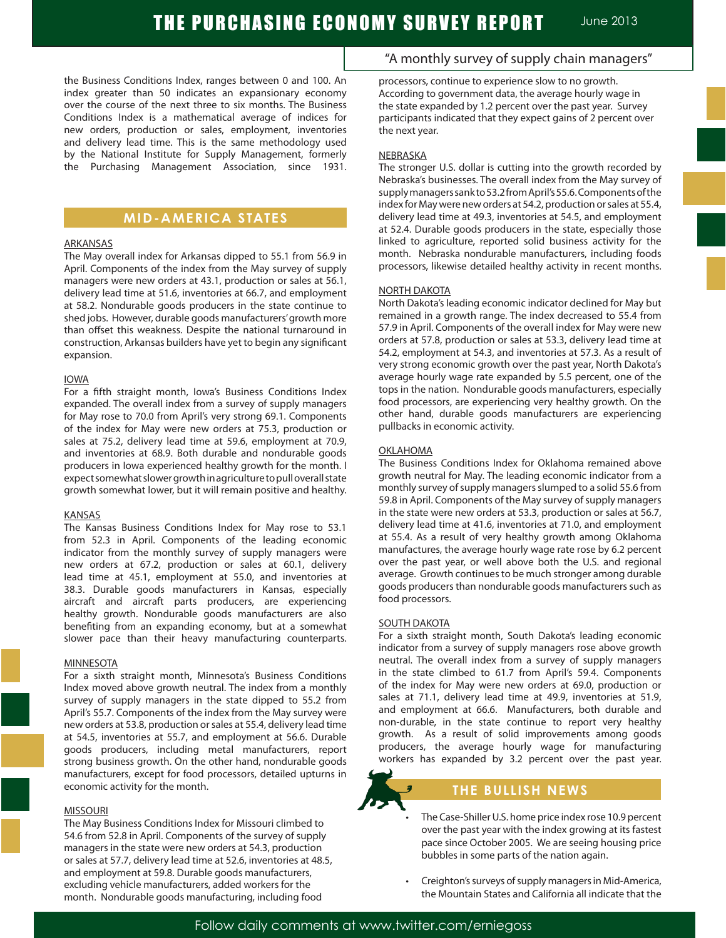the Business Conditions Index, ranges between 0 and 100. An index greater than 50 indicates an expansionary economy over the course of the next three to six months. The Business Conditions Index is a mathematical average of indices for new orders, production or sales, employment, inventories and delivery lead time. This is the same methodology used by the National Institute for Supply Management, formerly the Purchasing Management Association, since 1931.

## **MID-AMERICA STATES**

#### ARKANSAS

The May overall index for Arkansas dipped to 55.1 from 56.9 in April. Components of the index from the May survey of supply managers were new orders at 43.1, production or sales at 56.1, delivery lead time at 51.6, inventories at 66.7, and employment at 58.2. Nondurable goods producers in the state continue to shed jobs. However, durable goods manufacturers' growth more than offset this weakness. Despite the national turnaround in construction, Arkansas builders have yet to begin any significant expansion.

#### IOWA

For a fifth straight month, Iowa's Business Conditions Index expanded. The overall index from a survey of supply managers for May rose to 70.0 from April's very strong 69.1. Components of the index for May were new orders at 75.3, production or sales at 75.2, delivery lead time at 59.6, employment at 70.9, and inventories at 68.9. Both durable and nondurable goods producers in Iowa experienced healthy growth for the month. I expect somewhat slower growth in agriculture to pull overall state growth somewhat lower, but it will remain positive and healthy.

#### KANSAS

The Kansas Business Conditions Index for May rose to 53.1 from 52.3 in April. Components of the leading economic indicator from the monthly survey of supply managers were new orders at 67.2, production or sales at 60.1, delivery lead time at 45.1, employment at 55.0, and inventories at 38.3. Durable goods manufacturers in Kansas, especially aircraft and aircraft parts producers, are experiencing healthy growth. Nondurable goods manufacturers are also benefiting from an expanding economy, but at a somewhat slower pace than their heavy manufacturing counterparts.

#### **MINNESOTA**

For a sixth straight month, Minnesota's Business Conditions Index moved above growth neutral. The index from a monthly survey of supply managers in the state dipped to 55.2 from April's 55.7. Components of the index from the May survey were new orders at 53.8, production or sales at 55.4, delivery lead time at 54.5, inventories at 55.7, and employment at 56.6. Durable goods producers, including metal manufacturers, report strong business growth. On the other hand, nondurable goods manufacturers, except for food processors, detailed upturns in economic activity for the month.

### MISSOURI

The May Business Conditions Index for Missouri climbed to 54.6 from 52.8 in April. Components of the survey of supply managers in the state were new orders at 54.3, production or sales at 57.7, delivery lead time at 52.6, inventories at 48.5, and employment at 59.8. Durable goods manufacturers, excluding vehicle manufacturers, added workers for the month. Nondurable goods manufacturing, including food

# "A monthly survey of supply chain managers"

processors, continue to experience slow to no growth. According to government data, the average hourly wage in the state expanded by 1.2 percent over the past year. Survey participants indicated that they expect gains of 2 percent over the next year.

## NEBRASKA

The stronger U.S. dollar is cutting into the growth recorded by Nebraska's businesses. The overall index from the May survey of supply managers sank to 53.2 from April's 55.6. Components of the index for May were new orders at 54.2, production or sales at 55.4, delivery lead time at 49.3, inventories at 54.5, and employment at 52.4. Durable goods producers in the state, especially those linked to agriculture, reported solid business activity for the month. Nebraska nondurable manufacturers, including foods processors, likewise detailed healthy activity in recent months.

## NORTH DAKOTA

North Dakota's leading economic indicator declined for May but remained in a growth range. The index decreased to 55.4 from 57.9 in April. Components of the overall index for May were new orders at 57.8, production or sales at 53.3, delivery lead time at 54.2, employment at 54.3, and inventories at 57.3. As a result of very strong economic growth over the past year, North Dakota's average hourly wage rate expanded by 5.5 percent, one of the tops in the nation. Nondurable goods manufacturers, especially food processors, are experiencing very healthy growth. On the other hand, durable goods manufacturers are experiencing pullbacks in economic activity.

### **OKLAHOMA**

The Business Conditions Index for Oklahoma remained above growth neutral for May. The leading economic indicator from a monthly survey of supply managers slumped to a solid 55.6 from 59.8 in April. Components of the May survey of supply managers in the state were new orders at 53.3, production or sales at 56.7, delivery lead time at 41.6, inventories at 71.0, and employment at 55.4. As a result of very healthy growth among Oklahoma manufactures, the average hourly wage rate rose by 6.2 percent over the past year, or well above both the U.S. and regional average. Growth continues to be much stronger among durable goods producers than nondurable goods manufacturers such as food processors.

### **SOUTH DAKOTA**

For a sixth straight month, South Dakota's leading economic indicator from a survey of supply managers rose above growth neutral. The overall index from a survey of supply managers in the state climbed to 61.7 from April's 59.4. Components of the index for May were new orders at 69.0, production or sales at 71.1, delivery lead time at 49.9, inventories at 51.9, and employment at 66.6. Manufacturers, both durable and non-durable, in the state continue to report very healthy growth. As a result of solid improvements among goods producers, the average hourly wage for manufacturing workers has expanded by 3.2 percent over the past year.



## **THE BULLISH NEWS**

- The Case-Shiller U.S. home price index rose 10.9 percent over the past year with the index growing at its fastest pace since October 2005. We are seeing housing price bubbles in some parts of the nation again.
- Creighton's surveys of supply managers in Mid-America, the Mountain States and California all indicate that the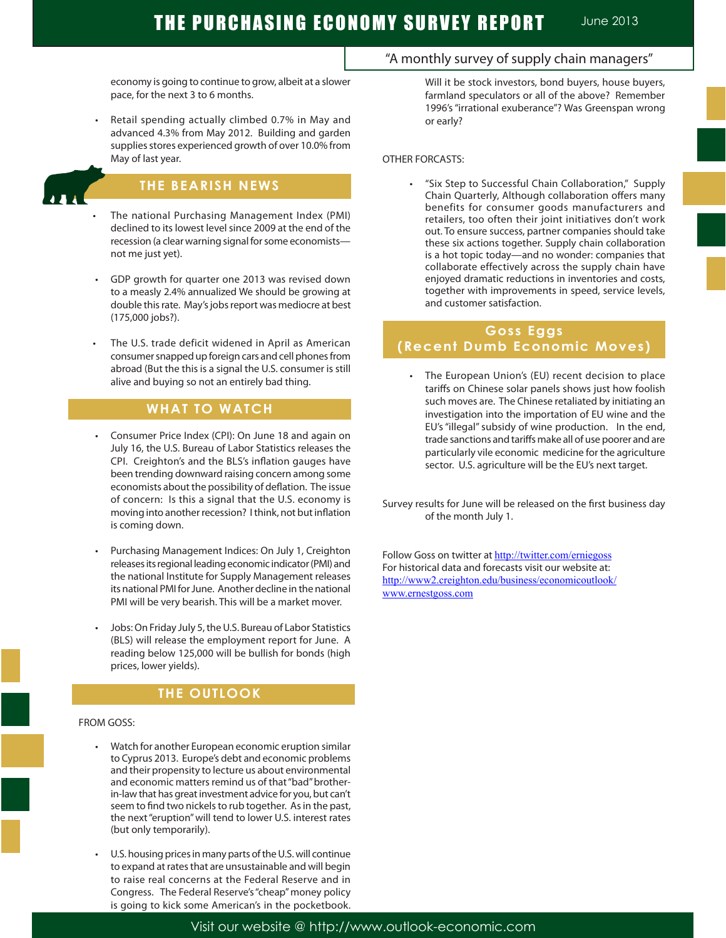# THE PURCHASING ECONOMY SURVEY REPORT June 2013

economy is going to continue to grow, albeit at a slower pace, for the next 3 to 6 months.

Retail spending actually climbed 0.7% in May and advanced 4.3% from May 2012. Building and garden supplies stores experienced growth of over 10.0% from May of last year.

## **THE BEARISH NEWS**

- The national Purchasing Management Index (PMI) declined to its lowest level since 2009 at the end of the recession (a clear warning signal for some economists not me just yet).
- GDP growth for quarter one 2013 was revised down to a measly 2.4% annualized We should be growing at double this rate. May's jobs report was mediocre at best (175,000 jobs?).
- The U.S. trade deficit widened in April as American consumer snapped up foreign cars and cell phones from abroad (But the this is a signal the U.S. consumer is still alive and buying so not an entirely bad thing.

## **WHAT TO WATCH**

- Consumer Price Index (CPI): On June 18 and again on July 16, the U.S. Bureau of Labor Statistics releases the CPI. Creighton's and the BLS's inflation gauges have been trending downward raising concern among some economists about the possibility of deflation. The issue of concern: Is this a signal that the U.S. economy is moving into another recession? I think, not but inflation is coming down.
- Purchasing Management Indices: On July 1, Creighton releases its regional leading economic indicator (PMI) and the national Institute for Supply Management releases its national PMI for June. Another decline in the national PMI will be very bearish. This will be a market mover.
- Jobs: On Friday July 5, the U.S. Bureau of Labor Statistics (BLS) will release the employment report for June. A reading below 125,000 will be bullish for bonds (high prices, lower yields).

## **THE OUTLOOK**

#### FROM GOSS:

Ĩ

- Watch for another European economic eruption similar to Cyprus 2013. Europe's debt and economic problems and their propensity to lecture us about environmental and economic matters remind us of that "bad" brotherin-law that has great investment advice for you, but can't seem to find two nickels to rub together. As in the past, the next "eruption" will tend to lower U.S. interest rates (but only temporarily).
- U.S. housing prices in many parts of the U.S. will continue to expand at rates that are unsustainable and will begin to raise real concerns at the Federal Reserve and in Congress. The Federal Reserve's "cheap" money policy is going to kick some American's in the pocketbook.

## "A monthly survey of supply chain managers"

Will it be stock investors, bond buyers, house buyers, farmland speculators or all of the above? Remember 1996's "irrational exuberance"? Was Greenspan wrong or early?

#### OTHER FORCASTS:

"Six Step to Successful Chain Collaboration," Supply Chain Quarterly, Although collaboration offers many benefits for consumer goods manufacturers and retailers, too often their joint initiatives don't work out. To ensure success, partner companies should take these six actions together. Supply chain collaboration is a hot topic today—and no wonder: companies that collaborate effectively across the supply chain have enjoyed dramatic reductions in inventories and costs, together with improvements in speed, service levels, and customer satisfaction.

## **Goss Eggs (Recent Dumb Economic Moves)**

 • The European Union's (EU) recent decision to place tariffs on Chinese solar panels shows just how foolish such moves are. The Chinese retaliated by initiating an investigation into the importation of EU wine and the EU's "illegal" subsidy of wine production. In the end, trade sanctions and tariffs make all of use poorer and are particularly vile economic medicine for the agriculture sector. U.S. agriculture will be the EU's next target.

Survey results for June will be released on the first business day of the month July 1.

Follow Goss on twitter at http://twitter.com/erniegoss For historical data and forecasts visit our website at: http://www2.creighton.edu/business/economicoutlook/ www.ernestgoss.com